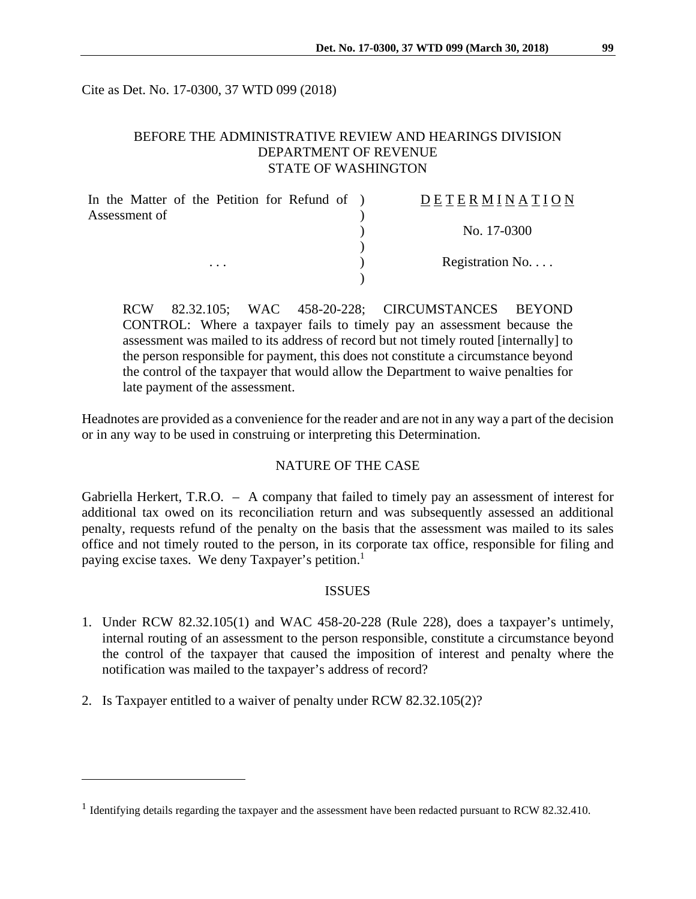Cite as Det. No. 17-0300, 37 WTD 099 (2018)

# BEFORE THE ADMINISTRATIVE REVIEW AND HEARINGS DIVISION DEPARTMENT OF REVENUE STATE OF WASHINGTON

| In the Matter of the Petition for Refund of ) | DETERMINATION   |
|-----------------------------------------------|-----------------|
| Assessment of                                 |                 |
|                                               | No. 17-0300     |
|                                               |                 |
| $\cdots$                                      | Registration No |
|                                               |                 |

RCW 82.32.105; WAC 458-20-228; CIRCUMSTANCES BEYOND CONTROL: Where a taxpayer fails to timely pay an assessment because the assessment was mailed to its address of record but not timely routed [internally] to the person responsible for payment, this does not constitute a circumstance beyond the control of the taxpayer that would allow the Department to waive penalties for late payment of the assessment.

Headnotes are provided as a convenience for the reader and are not in any way a part of the decision or in any way to be used in construing or interpreting this Determination.

### NATURE OF THE CASE

Gabriella Herkert, T.R.O. – A company that failed to timely pay an assessment of interest for additional tax owed on its reconciliation return and was subsequently assessed an additional penalty, requests refund of the penalty on the basis that the assessment was mailed to its sales office and not timely routed to the person, in its corporate tax office, responsible for filing and paying excise taxes. We deny Taxpayer's petition.<sup>1</sup>

#### ISSUES

- 1. Under RCW 82.32.105(1) and WAC 458-20-228 (Rule 228), does a taxpayer's untimely, internal routing of an assessment to the person responsible, constitute a circumstance beyond the control of the taxpayer that caused the imposition of interest and penalty where the notification was mailed to the taxpayer's address of record?
- 2. Is Taxpayer entitled to a waiver of penalty under RCW 82.32.105(2)?

1

<sup>&</sup>lt;sup>1</sup> Identifying details regarding the taxpayer and the assessment have been redacted pursuant to RCW 82.32.410.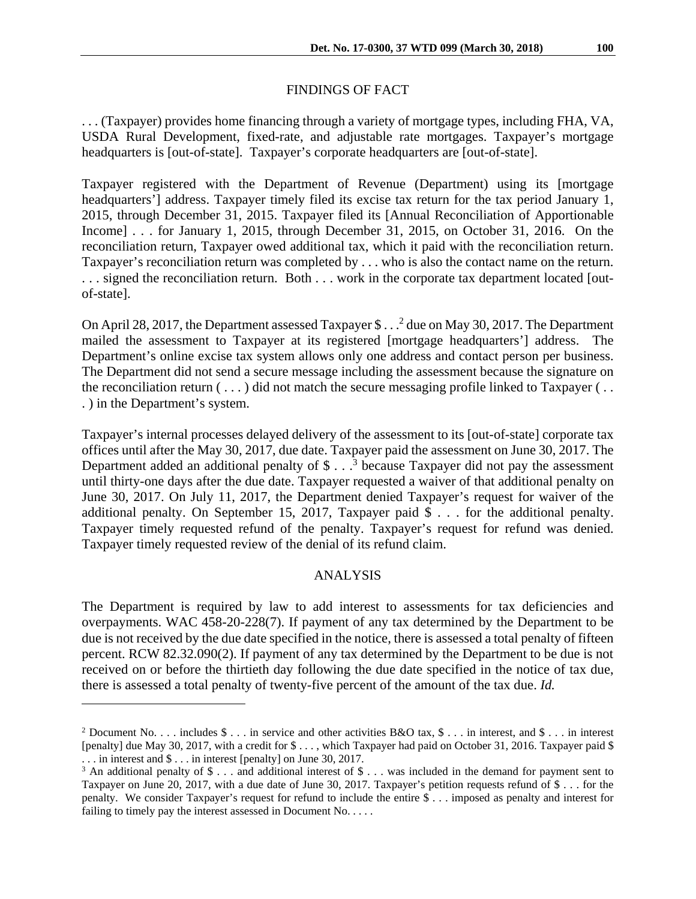## FINDINGS OF FACT

. . . (Taxpayer) provides home financing through a variety of mortgage types, including FHA, VA, USDA Rural Development, fixed-rate, and adjustable rate mortgages. Taxpayer's mortgage headquarters is [out-of-state]. Taxpayer's corporate headquarters are [out-of-state].

Taxpayer registered with the Department of Revenue (Department) using its [mortgage headquarters'] address. Taxpayer timely filed its excise tax return for the tax period January 1, 2015, through December 31, 2015. Taxpayer filed its [Annual Reconciliation of Apportionable Income] . . . for January 1, 2015, through December 31, 2015, on October 31, 2016. On the reconciliation return, Taxpayer owed additional tax, which it paid with the reconciliation return. Taxpayer's reconciliation return was completed by . . . who is also the contact name on the return. . . . signed the reconciliation return. Both . . . work in the corporate tax department located [outof-state].

On April 28, 2017, the Department assessed Taxpayer \$ . . .<sup>2</sup> due on May 30, 2017. The Department mailed the assessment to Taxpayer at its registered [mortgage headquarters'] address. The Department's online excise tax system allows only one address and contact person per business. The Department did not send a secure message including the assessment because the signature on the reconciliation return  $(\ldots)$  did not match the secure messaging profile linked to Taxpayer  $(\ldots)$ . ) in the Department's system.

Taxpayer's internal processes delayed delivery of the assessment to its [out-of-state] corporate tax offices until after the May 30, 2017, due date. Taxpayer paid the assessment on June 30, 2017. The Department added an additional penalty of  $$...$ <sup>3</sup> because Taxpayer did not pay the assessment until thirty-one days after the due date. Taxpayer requested a waiver of that additional penalty on June 30, 2017. On July 11, 2017, the Department denied Taxpayer's request for waiver of the additional penalty. On September 15, 2017, Taxpayer paid \$ . . . for the additional penalty. Taxpayer timely requested refund of the penalty. Taxpayer's request for refund was denied. Taxpayer timely requested review of the denial of its refund claim.

## ANALYSIS

The Department is required by law to add interest to assessments for tax deficiencies and overpayments. WAC 458-20-228(7). If payment of any tax determined by the Department to be due is not received by the due date specified in the notice, there is assessed a total penalty of fifteen percent. RCW 82.32.090(2). If payment of any tax determined by the Department to be due is not received on or before the thirtieth day following the due date specified in the notice of tax due, there is assessed a total penalty of twenty-five percent of the amount of the tax due. *Id.* 

1

<sup>&</sup>lt;sup>2</sup> Document No. . . . includes  $\frac{1}{2}$  . . . in service and other activities B&O tax,  $\frac{1}{2}$  . . . in interest, and  $\frac{1}{2}$  . . . in interest [penalty] due May 30, 2017, with a credit for \$ . . . , which Taxpayer had paid on October 31, 2016. Taxpayer paid \$

<sup>...</sup> in interest and  $\$ ... in interest [penalty] on June 30, 2017.<br><sup>3</sup> An additional penalty of  $\$ ... and additional interest of  $\$$ ... was included in the demand for payment sent to Taxpayer on June 20, 2017, with a due date of June 30, 2017. Taxpayer's petition requests refund of \$ . . . for the penalty. We consider Taxpayer's request for refund to include the entire \$ . . . imposed as penalty and interest for failing to timely pay the interest assessed in Document No. . . . .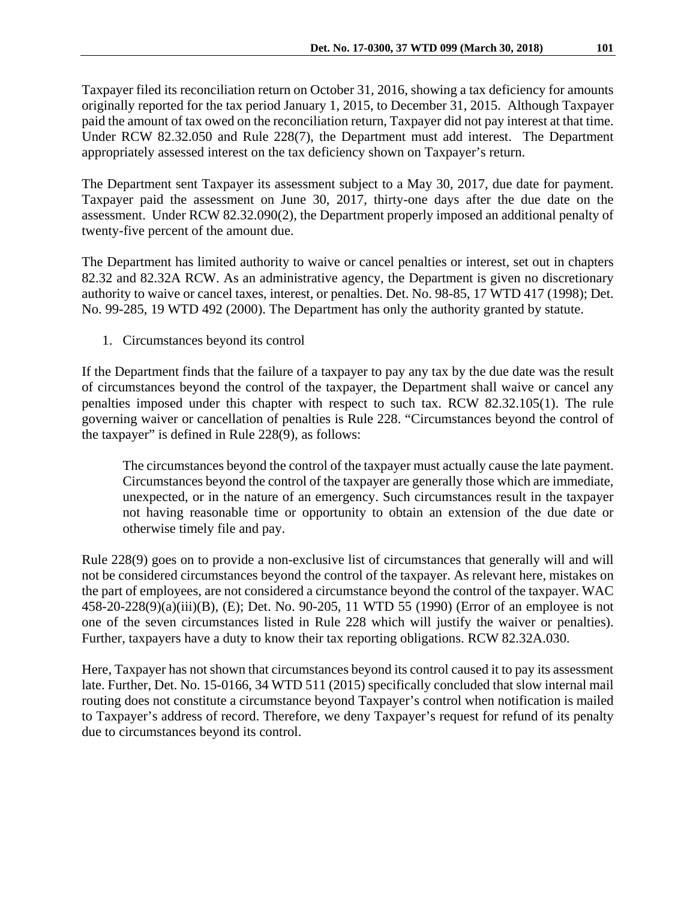Taxpayer filed its reconciliation return on October 31, 2016, showing a tax deficiency for amounts originally reported for the tax period January 1, 2015, to December 31, 2015. Although Taxpayer paid the amount of tax owed on the reconciliation return, Taxpayer did not pay interest at that time. Under RCW 82.32.050 and Rule 228(7), the Department must add interest. The Department appropriately assessed interest on the tax deficiency shown on Taxpayer's return.

The Department sent Taxpayer its assessment subject to a May 30, 2017, due date for payment. Taxpayer paid the assessment on June 30, 2017, thirty-one days after the due date on the assessment. Under RCW 82.32.090(2), the Department properly imposed an additional penalty of twenty-five percent of the amount due.

The Department has limited authority to waive or cancel penalties or interest, set out in chapters 82.32 and 82.32A RCW. As an administrative agency, the Department is given no discretionary authority to waive or cancel taxes, interest, or penalties. Det. No. 98-85, 17 WTD 417 (1998); Det. No. 99-285, 19 WTD 492 (2000). The Department has only the authority granted by statute.

1. Circumstances beyond its control

If the Department finds that the failure of a taxpayer to pay any tax by the due date was the result of circumstances beyond the control of the taxpayer, the Department shall waive or cancel any penalties imposed under this chapter with respect to such tax. RCW 82.32.105(1). The rule governing waiver or cancellation of penalties is Rule 228. "Circumstances beyond the control of the taxpayer" is defined in Rule 228(9), as follows:

The circumstances beyond the control of the taxpayer must actually cause the late payment. Circumstances beyond the control of the taxpayer are generally those which are immediate, unexpected, or in the nature of an emergency. Such circumstances result in the taxpayer not having reasonable time or opportunity to obtain an extension of the due date or otherwise timely file and pay.

Rule 228(9) goes on to provide a non-exclusive list of circumstances that generally will and will not be considered circumstances beyond the control of the taxpayer. As relevant here, mistakes on the part of employees, are not considered a circumstance beyond the control of the taxpayer. WAC 458-20-228(9)(a)(iii)(B), (E); Det. No. 90-205, 11 WTD 55 (1990) (Error of an employee is not one of the seven circumstances listed in Rule 228 which will justify the waiver or penalties). Further, taxpayers have a duty to know their tax reporting obligations. RCW 82.32A.030.

Here, Taxpayer has not shown that circumstances beyond its control caused it to pay its assessment late. Further, Det. No. 15-0166, 34 WTD 511 (2015) specifically concluded that slow internal mail routing does not constitute a circumstance beyond Taxpayer's control when notification is mailed to Taxpayer's address of record. Therefore, we deny Taxpayer's request for refund of its penalty due to circumstances beyond its control.